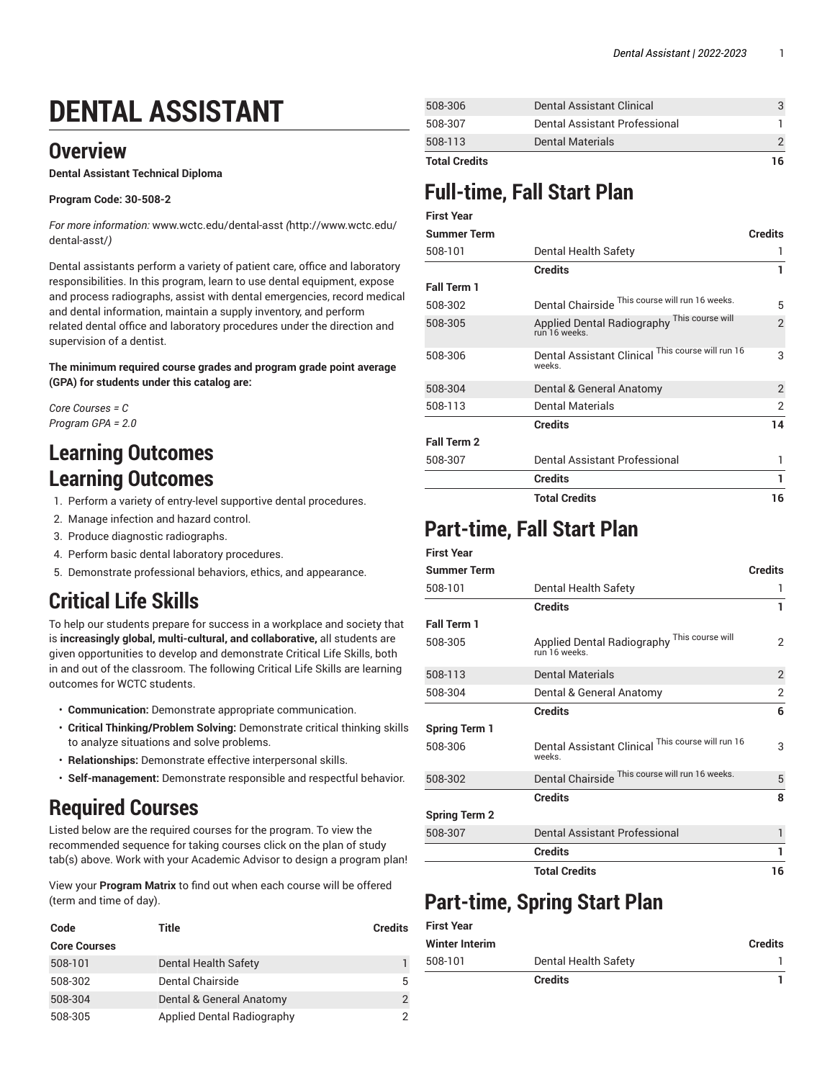# **DENTAL ASSISTANT**

## **Overview**

**Dental Assistant Technical Diploma**

#### **Program Code: 30-508-2**

*For more information:* [www.wctc.edu/dental-asst](http://www.wctc.edu/dental-asst/) *(*[http://www.wctc.edu/](http://www.wctc.edu/dental-asst/) [dental-asst/](http://www.wctc.edu/dental-asst/)*)*

Dental assistants perform a variety of patient care, office and laboratory responsibilities. In this program, learn to use dental equipment, expose and process radiographs, assist with dental emergencies, record medical and dental information, maintain a supply inventory, and perform related dental office and laboratory procedures under the direction and supervision of a dentist.

**The minimum required course grades and program grade point average (GPA) for students under this catalog are:**

*Core Courses = C Program GPA = 2.0*

## **Learning Outcomes Learning Outcomes**

- 1. Perform a variety of entry-level supportive dental procedures.
- 2. Manage infection and hazard control.
- 3. Produce diagnostic radiographs.
- 4. Perform basic dental laboratory procedures.
- 5. Demonstrate professional behaviors, ethics, and appearance.

## **Critical Life Skills**

To help our students prepare for success in a workplace and society that is **increasingly global, multi-cultural, and collaborative,** all students are given opportunities to develop and demonstrate Critical Life Skills, both in and out of the classroom. The following Critical Life Skills are learning outcomes for WCTC students.

- **Communication:** Demonstrate appropriate communication.
- **Critical Thinking/Problem Solving:** Demonstrate critical thinking skills to analyze situations and solve problems.
- **Relationships:** Demonstrate effective interpersonal skills.
- **Self-management:** Demonstrate responsible and respectful behavior.

## **Required Courses**

Listed below are the required courses for the program. To view the recommended sequence for taking courses click on the plan of study tab(s) above. Work with your Academic Advisor to design a program plan!

View your **Program Matrix** to find out when each course will be offered (term and time of day).

| Code                | Title                      | <b>Credits</b> |
|---------------------|----------------------------|----------------|
| <b>Core Courses</b> |                            |                |
| 508-101             | Dental Health Safety       |                |
| 508-302             | Dental Chairside           | 5              |
| 508-304             | Dental & General Anatomy   |                |
| 508-305             | Applied Dental Radiography |                |

| <b>Total Credits</b> |                               | 16 |
|----------------------|-------------------------------|----|
| 508-113              | <b>Dental Materials</b>       |    |
| 508-307              | Dental Assistant Professional |    |
| 508-306              | Dental Assistant Clinical     |    |

## **Full-time, Fall Start Plan**

| <b>First Year</b>  |                                                              |                |
|--------------------|--------------------------------------------------------------|----------------|
| <b>Summer Term</b> |                                                              | <b>Credits</b> |
| 508-101            | Dental Health Safety                                         | 1              |
|                    | <b>Credits</b>                                               | 1              |
| <b>Fall Term 1</b> |                                                              |                |
| 508-302            | Dental Chairside This course will run 16 weeks.              | 5              |
| 508-305            | Applied Dental Radiography This course will<br>run 16 weeks. | $\mathfrak{D}$ |
| 508-306            | Dental Assistant Clinical This course will run 16<br>weeks.  | 3              |
| 508-304            | Dental & General Anatomy                                     | $\overline{2}$ |
| 508-113            | <b>Dental Materials</b>                                      | $\overline{2}$ |
|                    | <b>Credits</b>                                               | 14             |
| <b>Fall Term 2</b> |                                                              |                |
| 508-307            | Dental Assistant Professional                                | 1              |
|                    | <b>Credits</b>                                               | 1              |
|                    | <b>Total Credits</b>                                         | 16             |

## **Part-time, Fall Start Plan**

### **First Year**

| <b>Summer Term</b>   |                                                             | <b>Credits</b> |
|----------------------|-------------------------------------------------------------|----------------|
| 508-101              | Dental Health Safety                                        | 1              |
|                      | <b>Credits</b>                                              | 1              |
| <b>Fall Term 1</b>   |                                                             |                |
| 508-305              | Applied Dental Radiography This course will<br>run 16 weeks | 2              |
| 508-113              | <b>Dental Materials</b>                                     | $\overline{2}$ |
| 508-304              | Dental & General Anatomy                                    | 2              |
|                      | <b>Credits</b>                                              | 6              |
| <b>Spring Term 1</b> |                                                             |                |
| 508-306              | Dental Assistant Clinical This course will run 16<br>weeks. | 3              |
| 508-302              | Dental Chairside This course will run 16 weeks.             | 5              |
|                      | <b>Credits</b>                                              | 8              |
| <b>Spring Term 2</b> |                                                             |                |
| 508-307              | Dental Assistant Professional                               | 1              |
|                      | <b>Credits</b>                                              | 1              |
|                      | <b>Total Credits</b>                                        | 16             |

## **Part-time, Spring Start Plan**

|                       | <b>Credits</b>       |                |
|-----------------------|----------------------|----------------|
| 508-101               | Dental Health Safety |                |
| <b>Winter Interim</b> |                      | <b>Credits</b> |
| <b>First Year</b>     |                      |                |